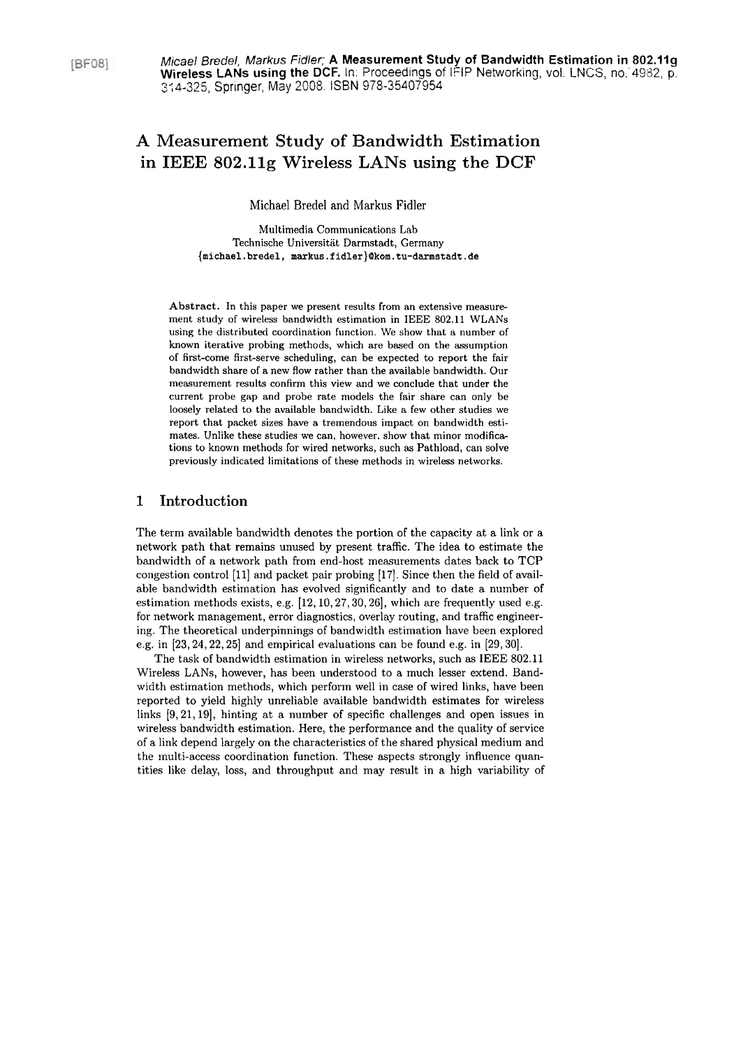# **A Measurement Study of Bandwidth Estimation in IEEE 802.11g Wireless LANs using the DCF**

Michael Bredel and Markus Fidler

Multimedia Communications Lab Technische Universität Darmstadt, Germany **{michael. bredel** , **markus** . **f id1er)Bkom. tu-darmstadt .de** 

Abstract. In this paper we present results from an extensive measurement study of wireless bandwidth estimation in IEEE 802.11 WLANs using the distributed coordination function. We show that a number of known iterative probing methods, which are based on the assumption of first-come first-serve scheduling, can be expected to report the fair bandwidth share of a new flow rather than the available bandwidth. Our measurement results confirm this view and we conclude that under the current probe gap and probe rate models the fair share can only be loosely related to the available bandwidth. Like a few other studies we report that packet sizes have a tremendous impact on bandwidth estimates. Unlike these studies we can. however. show that minor modifications to known methods for wired networks, such **as** Pathload, can solve previously indicated limitations of these methods in wireless networks.

### **1 Introduction**

The term available bandwidth denotes the portion of the capacity at a link or a network path that remains unused by present traffic. The idea to estimate the bandwidth of a network path from end-host measurements dates back to TCP congestion control  $[11]$  and packet pair probing  $[17]$ . Since then the field of available bandwidth estirnation has evolved significantly and to date a number of estimation methods exists, e.g. [12,10,27,30,26], which are frequeritly used e.g. for network management, error diagnostics, overlay routing, and traffic engineering. The theoretical underpinnings of bandwidth estimation have been explored e.g. in  $[23, 24, 22, 25]$  and empirical evaluations can be found e.g. in  $[29, 30]$ .

The task of bandwidth estimation in wireless networks, such as IEEE 802.11 Wireless LANs, however, has been understood to a much lesser extend. Bandwidth estimation methods, which perform well in case of wired links, have been reported to yield highly unreliable available bandwidth estimates for wireless links  $[9, 21, 19]$ , hinting at a number of specific challenges and open issues in wireless bandwidth estimation. Here, the performance and the quality of service of a link depend largely on the characteristics of the shared physical medium and the multi-access coordination function. These aspects strongly influence quantities like delay, loss, and throughput and may result in a high variability of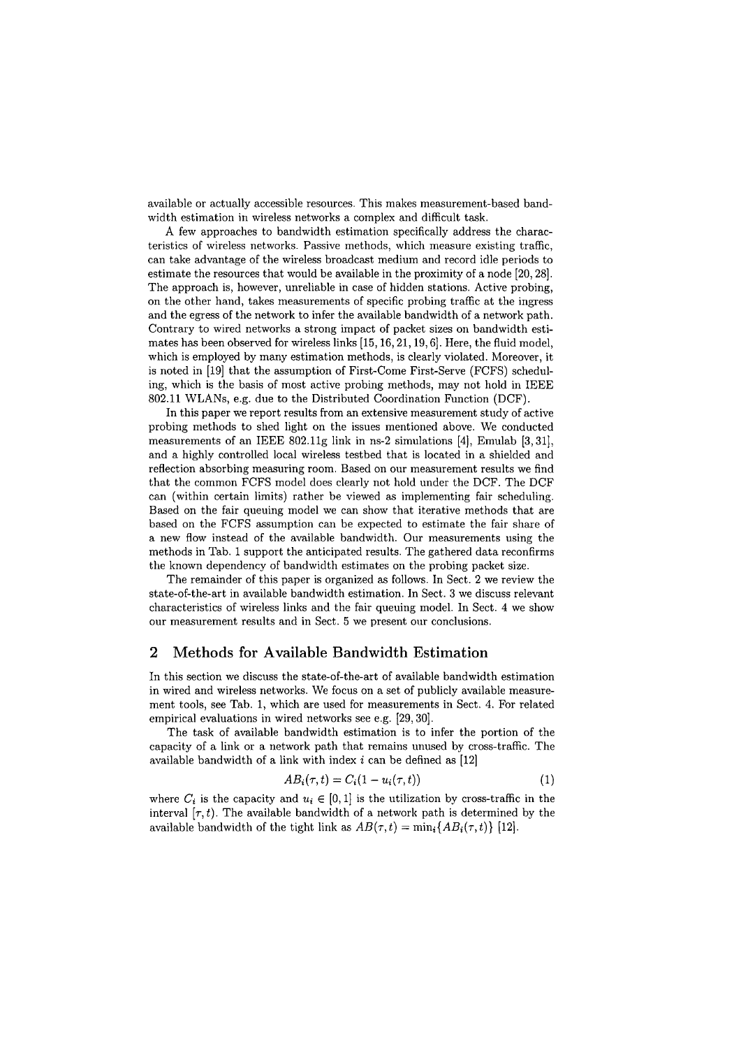available or actually accessible resources. This maltes measurement-based bandwidth estimation in wireless networks a complex and difficult task.

A few approaches to bandwidth estimation specifically address the characteristics of wireless networks. Passive methods, which measure existing traffic, can take advantage of the wireless broadcast medium and record idle periods to estimate the resources that would be available in the proximity of a node [20, 28]. The approach is, however, unreliable in case of hidden stations. Active probing, on the other hand, takes measurements of specific probing traffic at the ingress and the egress of the network to infer the available bandwidth of a network path. Contrary to wired networks a strong impact of packet sizes on bandwidth estimates has been observed for wireless links [15,16,21,19,6]. Here, the fluid model, which is employed by many estimation methods, is clearly violated. Moreover, it is noted in [19] that the assumption of First-Come First-Serve (FCFS) scheduling, which is the basis of most active probing methods, may not hold in IEEE 802.11 WLANs, e.g. due to the Distributed Coordination Function (DCF).

In this paper we report results from an extensive measurement study of active probing metliods to shed light on the issues mentioned above. We conducted measurements of an IEEE 802.11g link in ns-2 simulations [4], Emulab [3,31], and a highly controlled local wireless testbed that is located in a shielded and reflection absorbing measuring room. Based on our measurement results we find that the common FCFS model does clearly not hold under the DCF. The DCF can (within certain limits) rather be viewed as implementing fair scheduling. Based on the fair queuing model we can show that iterative methods that are based on the FCFS assumption can be expected to estimate the fair share of a new flow instead of the available bandwidth. Our measurements using the methods in Tab. 1 Support the anticipated results. The gathered data reconfirms the known dependency of bandwidth estimates on the probing packet size.

The remainder of this paper is organized as follows. In Sect. 2 we review the state-of-the-art in available bandwidth estimation. In Sect. 3 we discuss relevant characteristics of wireless links and the fair queuing model. In Sect. 4 we show our measurement results and in Sect. 5 we present our conclusions.

## **2** Methods for Available Bandwidth Estimation

In this section we discuss the state-of-the-art of available bandwidth estimation in wired and wireless networks. We focus on a set of publicly available measurement tools, see Tab. 1, which are used for measurements in Sect. 4. For related empirical evaluations in wired networks see e.g. [29,30].

The task of available bandwidth estimation is to infer the portion of the capacity of **a** link or a network path that remains unused by cross-traffic. The available bandwidth of a link with index **i** can be defined as [12]

$$
AB_i(\tau, t) = C_i(1 - u_i(\tau, t)) \tag{1}
$$

where  $C_i$  is the capacity and  $u_i \in [0,1]$  is the utilization by cross-traffic in the interval  $[\tau, t]$ . The available bandwidth of a network path is determined by the available bandwidth of the tight link as  $AB(\tau, t) = \min_i \{AB_i(\tau, t)\}$  [12].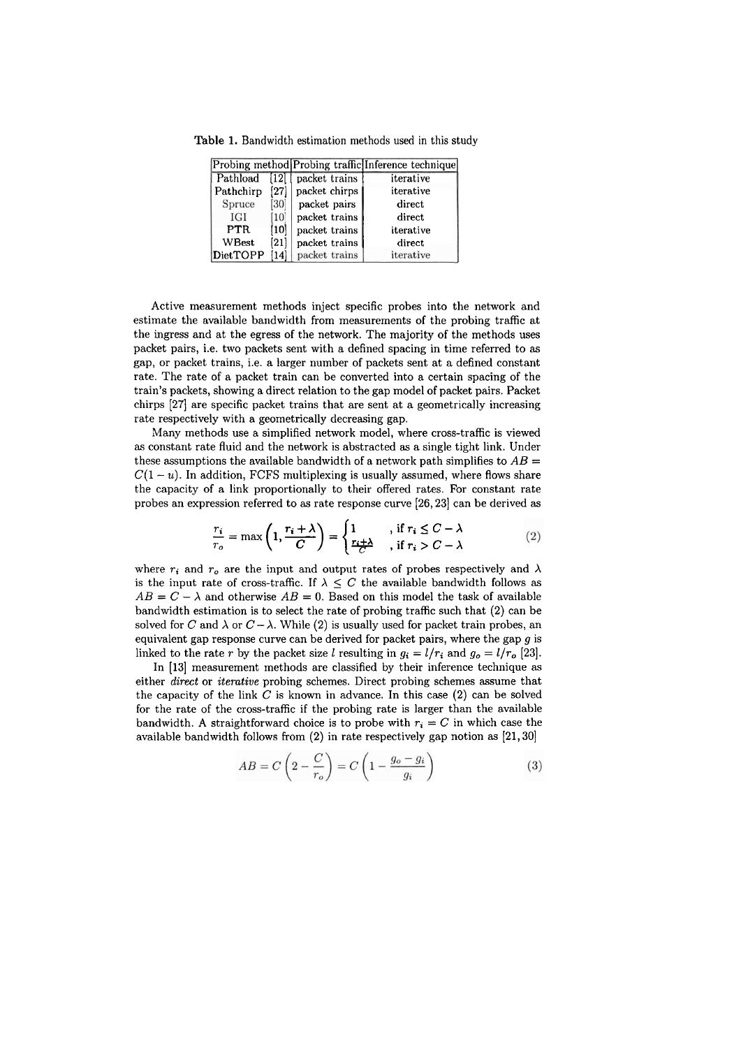Table 1. Bandwidth estimation methods used in this study

|                |                   |               | Probing method Probing traffic Inference technique |
|----------------|-------------------|---------------|----------------------------------------------------|
| Pathload       | [12]              | packet trains | iterative                                          |
| Pathchirp      | [27]              | packet chirps | iterative                                          |
| Spruce         | $\left[30\right]$ | packet pairs  | direct                                             |
| IGI            | 10                | packet trains | direct                                             |
| PTR.           | [10]              | packet trains | iterative                                          |
| WBest          | [21]              | packet trains | direct                                             |
| $\rm{DictTOP}$ | 14                | packet trains | iterative                                          |

Active measurement methods inject specific probes into the network and estimate the available bandwidth from measurements of the probing traffic at the ingress and at the egress of the network. The majority of the methods uses packet pairs, i.e. two packets sent with a defined spacing in time referred to as gap, or packet trains, i.e. a larger number of packets sent at a defined constant rate. The rate of a packet train can be converted into a certain spacing of the train's packets, showing a direct relation to the gap model of packet pairs. Packet chirps [27] are specific packet trains that are sent at a geometrically increasing rate respectively with a geometrically decreasing gap.

Many methods use a simplified network model, where cross-traffic is viewed as constant rate fluid and the network is abstracted as a single tight link. Under these assumptions the available bandwidth of a network path simplifies to  $AB =$  $C(1 - u)$ . In addition, FCFS multiplexing is usually assumed, where flows share the capacity of a link proportionally to their offered rates. For constant rate probes an expression referred to as rate response curve  $[26, 23]$  can be derived as

$$
\frac{r_i}{r_o} = \max\left(1, \frac{r_i + \lambda}{C}\right) = \begin{cases} 1 & , \text{ if } r_i \le C - \lambda \\ \frac{r_i + \lambda}{C} & , \text{ if } r_i > C - \lambda \end{cases}
$$
 (2)

where  $r_i$  and  $r_o$  are the input and output rates of probes respectively and  $\lambda$ is the input rate of cross-traffic. If  $\lambda \leq C$  the available bandwidth follows as  $AB = C - \lambda$  and otherwise  $AB = 0$ . Based on this model the task of available bandwidth estimation is to select the rate of probing traffic such that (2) can be solved for C and  $\lambda$  or  $C - \lambda$ . While (2) is usually used for packet train probes, an equivalent gap response curve can be derived for packet pairs, where the gap  $g$  is linked to the rate r by the packet size *l* resulting in  $g_i = l/r_i$  and  $g_o = l/r_o$  [23].

In [13] measurement methods are classified by their inference technique as either direct or iterative probing schemes. Direct probing schemes assume that the capacity of the link  $C$  is known in advance. In this case  $(2)$  can be solved for the rate of the cross-traffic if the probing rate is larger than the available bandwidth. A straightforward choice is to probe with  $r_i = C$  in which case the available bandwidth follows from (2) in rate respectively gap notion as [21,30]

$$
AB = C\left(2 - \frac{C}{r_o}\right) = C\left(1 - \frac{g_o - g_i}{g_i}\right) \tag{3}
$$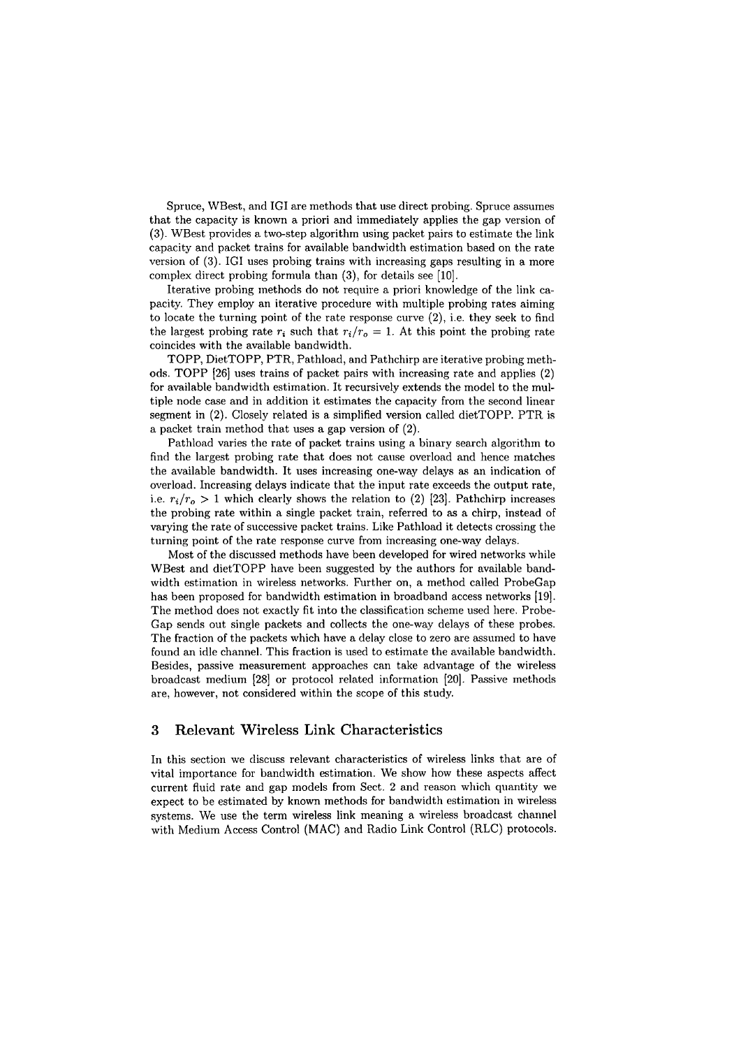Spruce, WBest, and IGI are methods that use direct probing. Spruce assumes that the capacity is known a priori and immediately applies the gap version of (3). WBest provides a two-step algorithm using packet pairs to estimate the link capacity and packet trains for available bandwidth estimation based on the rate version of (3). IGI uses probing trains with increasing gaps resulting in a more complex direct probing formula than (3), for details see [10].

Iterative probing methods do not require a priori knowledge of the link capacity. They employ an iterative procedure with multiple probing rates aiming to locate the turning point of the rate response curve (2), i.e. they seek to find the largest probing rate  $r_i$  such that  $r_i/r_o = 1$ . At this point the probing rate coincides with the available bandwidth.

TOPP, DietTOPP, PTR, Pathload, and Pathchirp are iterative probing methods. TOPP [26] uses trains of packet pairs with increasing rate and applies (2) for available bandwidth estimation. It recursively extends the model to the multiple node case and in addition it estimates the capacity from the second linear segrnent in (2). Closely related is a simplified version called dietTOPP. PTR is a packet train method that uses a gap version of  $(2)$ .

Pathload varies the rate of packet trains using a binary search algorithm to find the largest probing rate that does not cause overload and hence matches the available bandwidth. It uses increasing one-way delays as an indication of overload. Increasing delays indicate that the input rate exceeds the output rate, i.e.  $r_i/r_o > 1$  which clearly shows the relation to (2) [23]. Pathchirp increases the probing rate within a single packet train, referred to as a chirp, instead of varying the rate of successive packet trains. Like Pathload it detects crossing the turning point of the rate response curve from increasing one-way delays.

Most of the discussed methods have been developed for wired networks while WBest and dietTOPP have been suggested by the authors for available bandwidth estimation in wireless networks. Further on, a method called ProbeGap has been proposed for bandwidth estimation in broadband access networks [19]. The method does not exactly fit into the classification scheme used here. Probe-Gap sends out single packets and collects the one-way delays of these probes. The fraction of the packets which have a delay close to zero are assumed to have found an idle channel. This fraction is used to estimate the available bandwidth. Besides, passive measurement approaches can take advantage of the wireless broadcast medium [28] or protocol related information [20]. Passive methods are, however, not considered within the scope of this study.

#### **3 Relevant Wireless Link Characteristics**

In this section we discuss relevant characteristics of wireless links that are of vital importance for bandwidth estimation. We show how these aspects affect current fluid rate arid gap models frorn Sect. 2 and reason wliich quantity we expect to be estimated by known methods for bandwidth estimation in wireless systems. We use the term wireless link meaning a wireless broadcast channel with Medium Access Control (MAC) and Radio Link Control (RLC) protocols.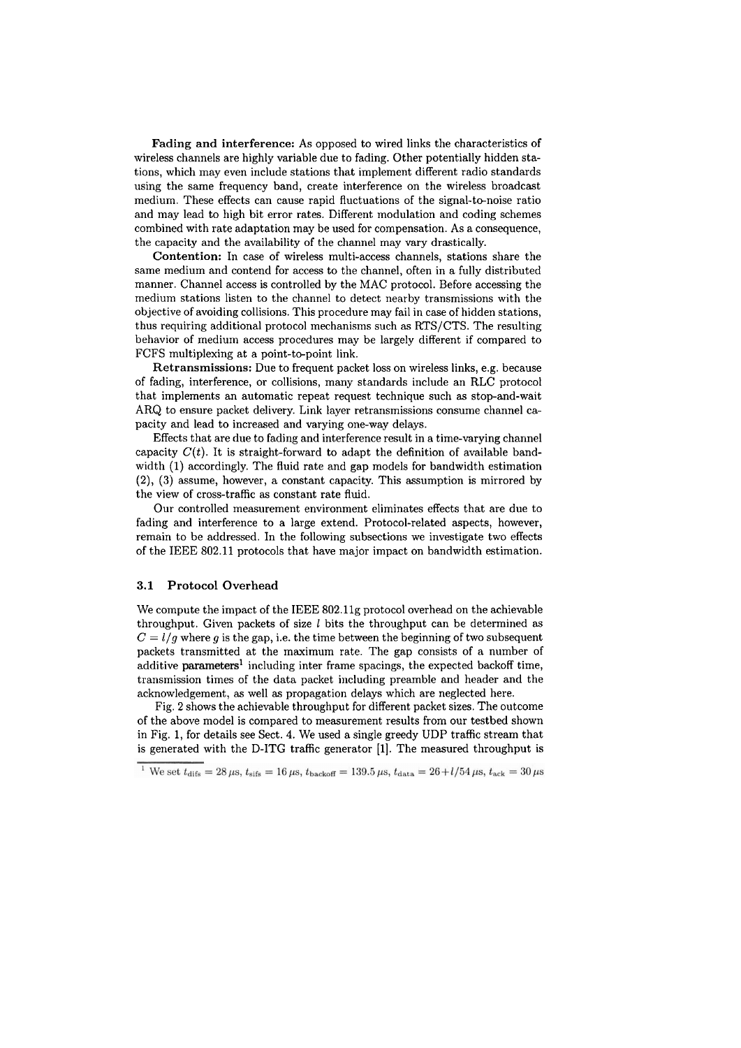Fading and interference: As opposed to wired links the characteristics of wireless channels are highly variable due to fading. Other potentially hidden stations, which may even include stations that implement different radio standards using the Same frequency band, create interference on the wireless broadcast medium. These effects can cause rapid fluctuations of the signal-to-noise ratio and may lead to high bit error rates. Different modulation and coding schemes combined with rate adaptation may be used for compensation. As a consequence, the capacity and the availability of the channel may vary drastically.

Contention: In case of wireless multi-access channels, stations share the Same medium and contend for access to the channel, often in a fully distributed manner. Channel access is controlled by the MAC protocol. Before accessing the medium stations listen to the channel to detect nearby transmissions with the objective of avoiding collisions. This procedure may fail in case of hidden stations, thus requiring additional protocol mechanisms such as RTS/CTS. The resulting behavior of medium access procedures may be largely different if compared to FCFS multiplexing at a point-to-point link.

Retransmissions: Due to frequent packet loss on wireless links, e.g. because of fading, interference, or collisions, many standards include an RLC protocol that implements an automatic repeat request technique such as stop-and-wait ARQ to ensure packet delivery. Link layer retransmissions consume channel capacity and lead to increased and varying one-way delays.

Effects that are due to fading and interference result in a time-varying channel capacity  $C(t)$ . It is straight-forward to adapt the definition of available bandwidth (1) accordingly. The fluid rate and gap models for bandwidth estimation (2), **(3)** assume, however, a constant capacity. This assumption is mirrored by the view of cross-traffic as constant rate fluid.

Our controlled measurement environment eliminates effects that are due to fading and interference to a large extend. Protocol-related aspects, however, remain to be addressed. In the following subsections we investigate two effects of the IEEE 802.11 protocols that have major impact on bandwidth estimation.

#### **3.1** Protocol Overhead

We compute the impact of the IEEE 802.11g protocol overhead on the achievable throughput. Given packets of size  $l$  bits the throughput can be determined as  $C = l/g$  where g is the gap, i.e. the time between the beginning of two subsequent packets transmitted at the maximum rate. The gap consists of a number of additive parameters<sup>1</sup> including inter frame spacings, the expected backoff time, transmission times of the data packet including preamble and header and the acknowledgernent, as well as propagation delays which are neglected here.

Fig. 2 shows the achievable throughput for different packet sizes. The outcome of the above model is compared to measurement results from our testbed shown in Fig. 1, for details See Sect. **4.** We used a single greedy UDP traffic stream that is generated with the D-ITG traffic generator [I]. The measured throughput is

<sup>&</sup>lt;sup>1</sup> We set  $t_{\text{difs}} = 28 \,\mu s$ ,  $t_{\text{sifs}} = 16 \,\mu s$ ,  $t_{\text{backoff}} = 139.5 \,\mu s$ ,  $t_{\text{data}} = 26 + l/54 \,\mu s$ ,  $t_{\text{ack}} = 30 \,\mu s$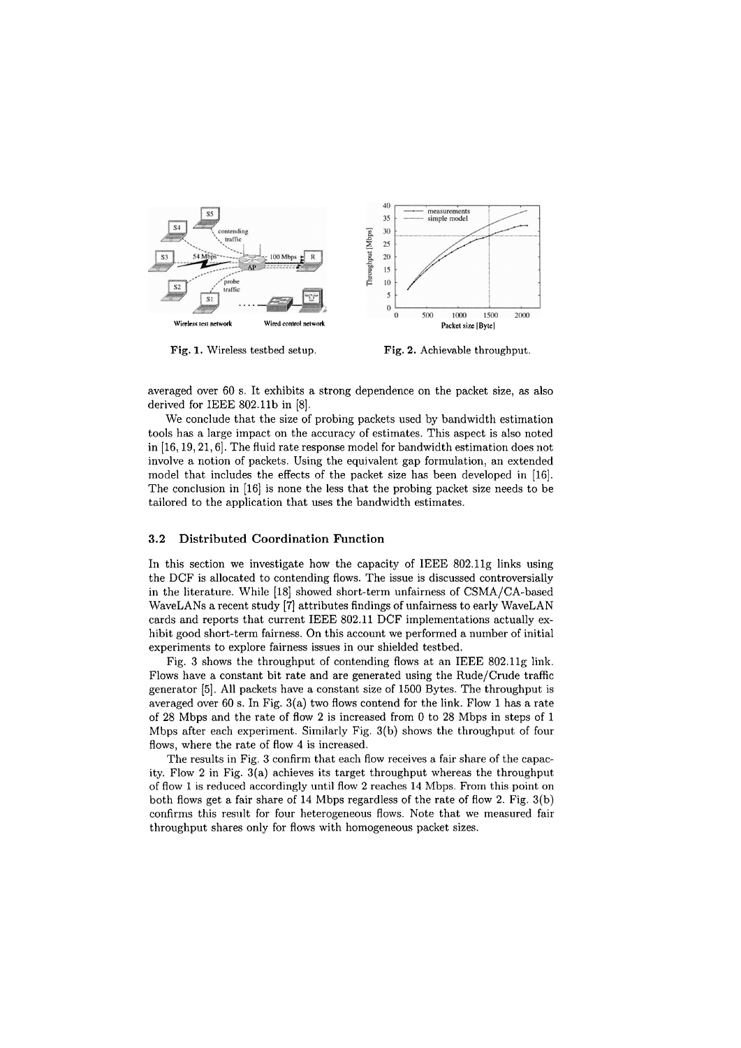

**Fig.** 1. Wireless testbed setup. **Fig.** 2. Achievable throughput.

averaged over 60 s. It exhibits a strong dependence on the packet size, as also derived for IEEE 802.11b in [8].

We conclude that the size of probing packets used by bandwidth estimation tools has a large impact on the accuracy of estimates. This aspect is also noted in [16,19,21,6]. The fluid rate response model for bandwidth estimation does not involve a notion of packets. Using the equivalent gap formulation, an extended model that includes the effects of the packet size has been developed in [16]. The conclusion in [16] is none the less that the probing packet size needs to be tailored to the application that uses the bandwidth estimates.

#### 3.2 Distributed Coordination Function

In this section we investigate how the capacity of IEEE 802.11g links using the DCF is allocated to contending flows. The issue is discussed controversially in the literature. While [18] showed short-term unfairness of CSMA/CA-based WaveLANs a recent study [7] attributes findings of unfairness to early WaveLAN cards and reports that current IEEE 802.11 DCF implementations actually exhibit good short-term fairness. On this account we performed a number of initial experiments to explore fairness issues in our shielded testbed.

Fig. 3 shows the throughput of contending flows at an IEEE 802.11g link. Flows have a constant bit rate and are generated using the Rude/Crude traffic generator [5]. All packets have a constant size of 1500 Bytes. The throughput is averaged over 60 s. In Fig.  $3(a)$  two flows contend for the link. Flow 1 has a rate of 28 Mbps and the rate of flow 2 is increased from 0 to 28 Mbps in steps of 1 Mbps after each experiment. Similarly Fig. 3(b) shows the throughput of four flows, where the rate of flow **4** is increased.

The results in Fig. 3 confirm that each flow receives a fair share of the capacity. Flow 2 in Fig. 3(a) achieves its target throughput whereas the throughput. of flow 1 is reduced accordingly until flow 2 reaches 14 Mbps. From this point on both flows get a fair share of 14 Mbps regardless of the rate of flow 2. Fig.  $3(b)$ confirms this result for four heterogeneous flows. Note that we measured fair throughput shares only for flows with homogeneous packet sizes.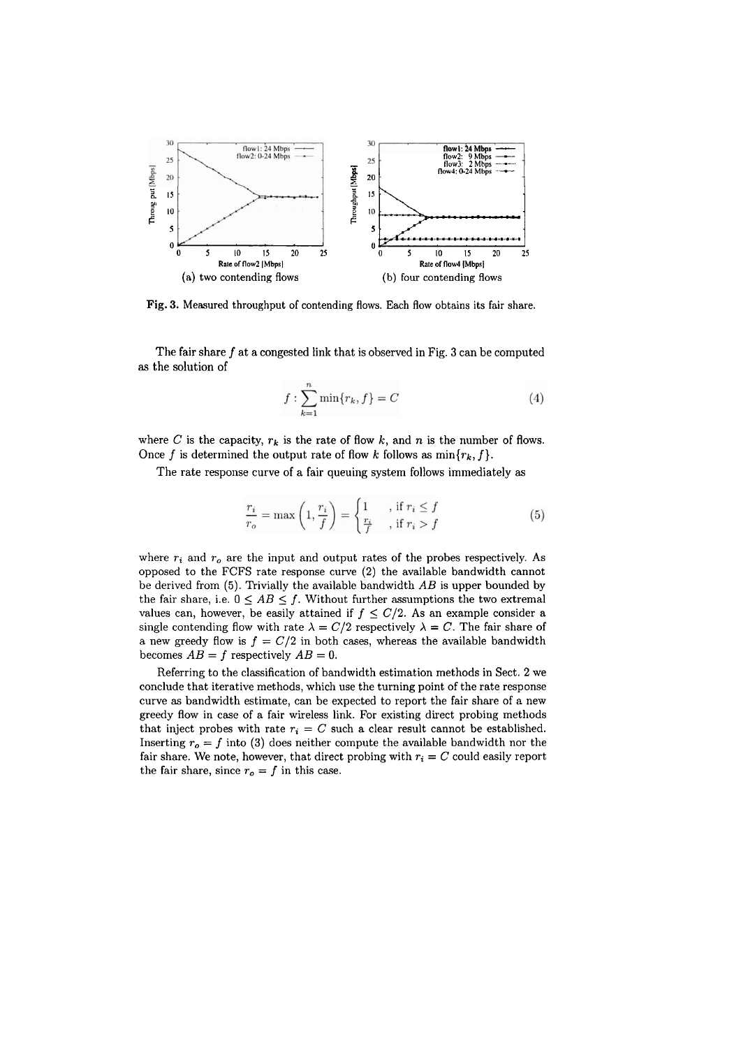

**Fig.** 3. Measured throughput of contending flows. Each flow obtains its fair share.

The fair share f at a congested link that is observed in Fig. **3** can be computed as the solution of

$$
f: \sum_{k=1}^{n} \min\{r_k, f\} = C
$$
 (4)

where C is the capacity,  $r_k$  is the rate of flow k, and n is the number of flows. Once f is determined the output rate of flow k follows as  $\min\{r_k, f\}.$ 

The rate response curve of a fair queuing system follows immediately **as** 

$$
\frac{r_i}{r_o} = \max\left(1, \frac{r_i}{f}\right) = \begin{cases} 1 & \text{if } r_i \le f \\ \frac{r_i}{f} & \text{if } r_i > f \end{cases}
$$
(5)

where  $r_i$  and  $r_o$  are the input and output rates of the probes respectively. As opposed to the FCFS rate response curve (2) the available bandwidth cannot be derived from (5). Trivially the available bandwidth *AB* is upper bounded by the fair share, i.e.  $0 \le AB \le f$ . Without further assumptions the two extremal values can, however, be easily attained if  $f \n\t\leq C/2$ . As an example consider a single contending flow with rate  $\lambda = C/2$  respectively  $\lambda = C$ . The fair share of a new greedy flow is  $f = C/2$  in both cases, whereas the available bandwidth becomes  $AB = f$  respectively  $AB = 0$ .

Referring to the classification of bandwidth estimation methods in Sect. **2** we conclude that iterative methods, which use the turning point of the rate response curve as bandwidth estimate, can be expected to report the fair share of a new greedy flow in case of a fair wireless link. For existing direct probing methods that inject probes with rate  $r_i = C$  such a clear result cannot be established. Inserting  $r_o = f$  into (3) does neither compute the available bandwidth nor the fair share. We note, however, that direct probing with  $r_i = C$  could easily report the fair share, since  $r_o = f$  in this case.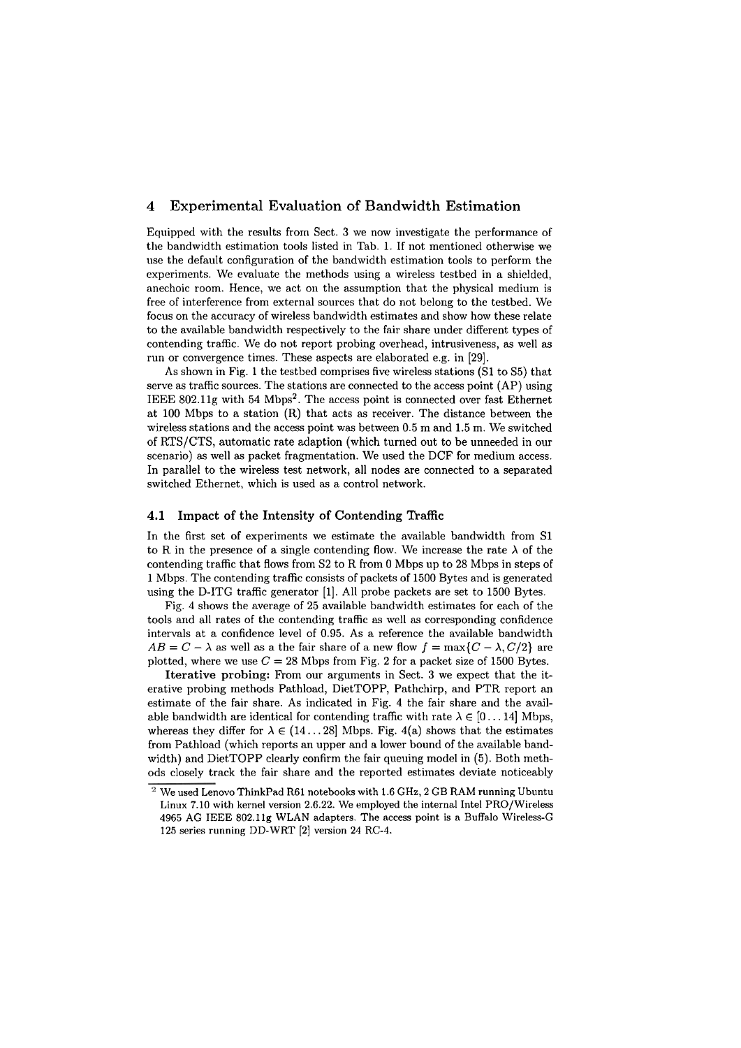### **4 Experimental Evaluation of Bandwidth Estimation**

Equipped with the results from Sect. 3 we now investigate the performance of the bandwidth estimation tools listed in Tab. 1. If not mentioned otherwise we use the default configuration of the bandwidth estimation tools to perform the experiments. We evaluate the methods using a wireless testbed in a shielded, anechoic room. Hence, we act on the assumption that the physical medium is free of interference from external sources that do not belong to the testbed. We focus on the accuracy of wireless bandwidth estimates and show how these relate to the available bandwidth respectively to the fair share under different types of contending traffic. We do not report probing overhead, intrusiveness, as well as run or convergence times. These aspects are elaborated e.g. in [29].

As shown in Fig. 1 the testbed comprises five wireless stations (S1 to S5) that serve as traffic sources. The stations are connected to the access point (AP) using IEEE 802.11g with 54 Mbps2. The access point is connected over fast Ethernet at 100 Mbps to a station  $(R)$  that acts as receiver. The distance between the wireless stations and the access point was between 0.5 m and 1.5 m. We switched of RTS/CTS, automatic rate adaption (which turned out to be unneeded in our scenario) as well **as** packet fragmentation. We used the DCF for medium access. In parallel to the wireless test network, all nodes are connected to a separated switched Ethernet, which is used as a control network.

#### **4.1** Impact of the Intensity of Contending Traffic

In the first set of experiments we estimate the available bandwidth from S1 to R in the presence of a single contending flow. We increase the rate  $\lambda$  of the contending traffic that flows from S2 to R from 0 Mbps up to 28 Mbps in steps of 1 Mbps. The contending traffic consists of packets of 1500 Bytes and is generated using the D-ITG traffic generator [I]. All probe packets are set to 1500 Bytes.

Fig. 4 shows the average of 25 available bandwidth estimates for each of the tools and all rates of the contending traffic as well as corresponding confidence intervals at a confidence level of 0.95. As a reference the available bandwidth  $AB = C - \lambda$  as well as a the fair share of a new flow  $f = \max\{C - \lambda, C/2\}$  are plotted, where we use  $C = 28$  Mbps from Fig. 2 for a packet size of 1500 Bytes.

Iterative probing: From our arguments in Sect. **3** we expect that the iterative probing methods Pathload, DietTOPP, Pathchirp, and PTR report an estimate of the fair share. As indicated in Fig. 4 the fair share and the available bandwidth are identical for contending traffic with rate  $\lambda \in [0...14]$  Mbps, whereas they differ for  $\lambda \in (14...28]$  Mbps. Fig. 4(a) shows that the estimates from Pathload (which reports an upper and a lower bound of the available bandwidth) and DietTOPP clearly confirm the fair queuing model in **(5).** Both methods closely track the fair share and the reported estimates deviate noticeably

**We used Lenovo ThinkPad R61 notebooks with 1.6 GHz, 2 GB RAM running Ubuntu Linux 7.10 with kerne1 version 2.6.22. We employed the internal Intel PRO/Wireless 4965 AG IEEE 802.11g WLAN adapters. The access point is a Buffalo Wireless-G 125 series running DD-WRT [2] version 24 RC-4.**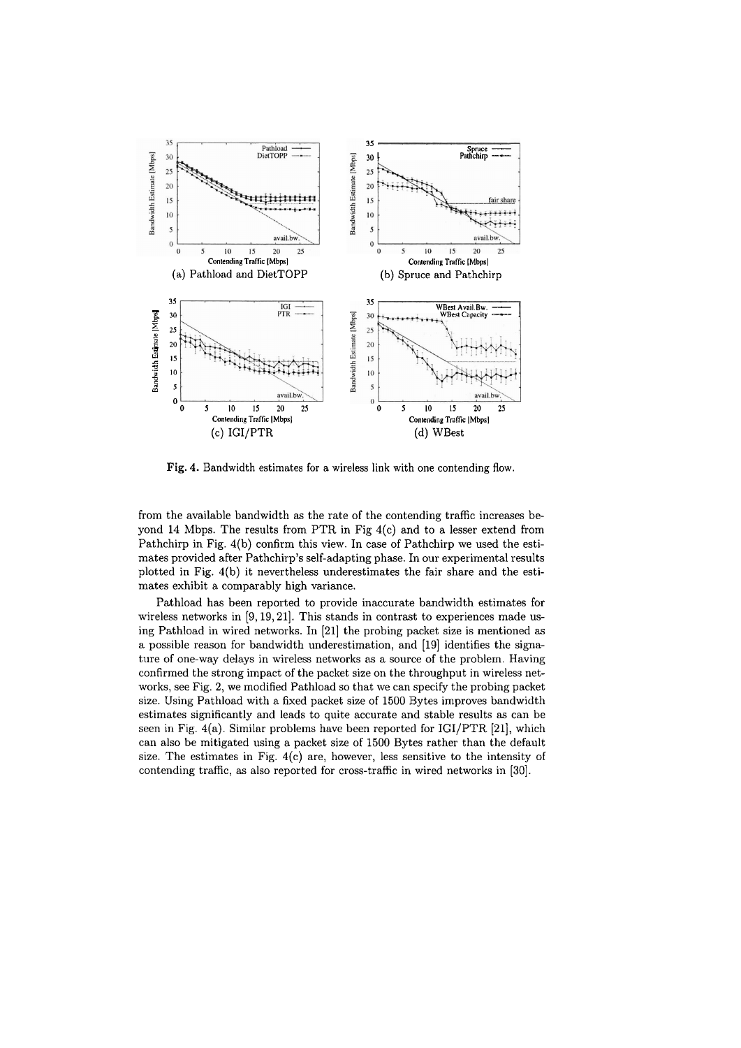

**Fig.** 4. Bandwidth estimates for a wireless link with one contending flow.

from the available bandwidth as the rate of the contending traffic increases beyond 14 Mbps. The results from PTR in Fig 4(c) and to a lesser extend from Pathchirp in Fig. 4(b) confirm this view. In case of Pathchirp we used the estimates provided after Pathchirp's self-adapting phase. In our experimental results plotted in Fig. 4(b) it nevertheless underestimates the fair share and the estimates exhibit a comparably high variance.

Pathload has been reported to provide inaccurate bandwidth estimates for wireless networks in [9,19,21]. This stands in contrast to experiences made using Pathload in wired networks. In [21] the probing packet size is mentioned as a possible reason for bandwidth underestimation, and [19] identifies the signature of one-way delays in wireless networks as a source of the problem. Having confirmed the strong impact of the packet size on the throughput in wireless networks, see Fig. **2,** we modified Pathload so that we can specify the probing packet size. Using Pathload with a fixed packet size of 1500 Bytes improves bandwidth estimates significantly and leads to quite accurate and stable results as can be seen in Fig. 4(a). Similar problems have been reported for IGI/PTR [21], which can also be mitigated using a packet size of 1500 Bytes rather than the default size. The estimates in Fig. 4(c) are, however, less sensitive to the intensity of contending traffic, as also reported for cross-traffic in wired networks in [30].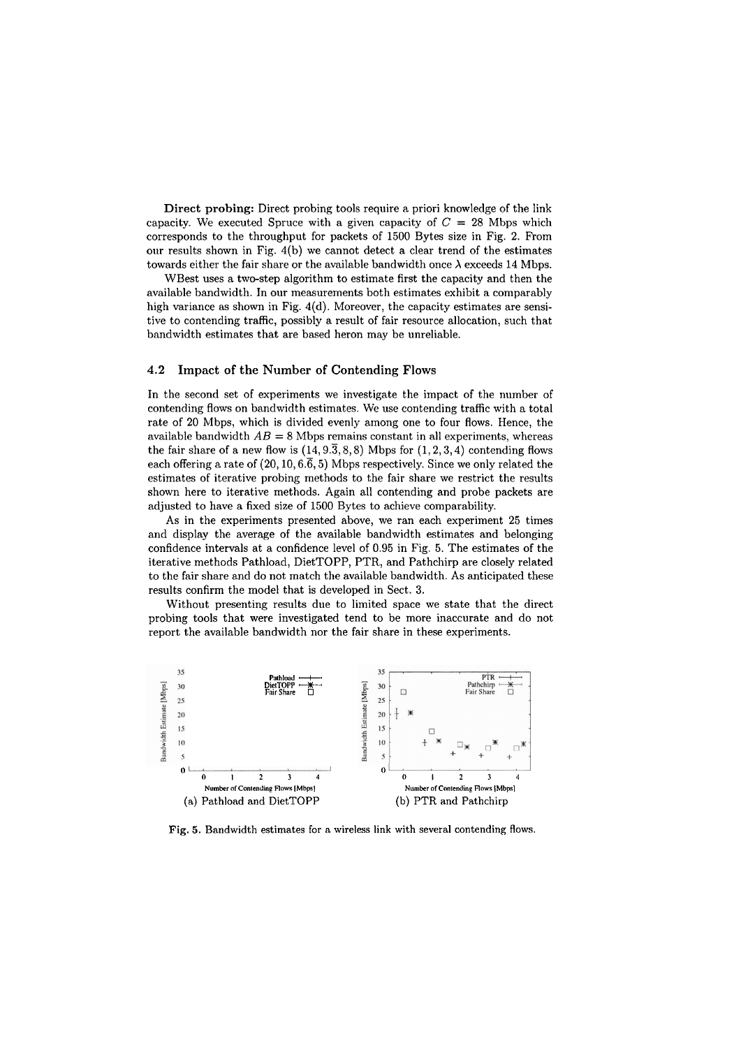Direct probing: Direct probing tools require a priori knowledge of the link capacity. We executed Spruce with a given capacity of  $C = 28$  Mbps which corresponds to the throughput for packets of 1500 Bytes size in Fig. **2.** From our results shown in Fig. 4(b) we cannot detect a clear trend of the estimates towards either the fair share or the available bandwidth once  $\lambda$  exceeds 14 Mbps.

WBest uses a two-step algorithm to estimate first the capacity and then the available bandwidth. In our measurements both estimates exhibit a comparably high variance as shown in Fig.  $4(d)$ . Moreover, the capacity estimates are sensitive to contending traffic, possibly a result of fair resource allocation, such that bandwidth estimates that are based heron may be unreliable.

#### **4.2** Impact of the Number of Contending Flows

In the second set of experiments we investigate the impact of the number of contending flows on bandwidth estimates. We use contending traffic with a total rate of 20 Mbps, which is divided evenly among one to four flows. Hence, the available bandwidth  $AB = 8$  Mbps remains constant in all experiments, whereas the fair share of a new flow is  $(14, 9.\overline{3}, 8, 8)$  Mbps for  $(1, 2, 3, 4)$  contending flows each offering a rate of  $(20, 10, 6.\overline{6}, 5)$  Mbps respectively. Since we only related the estimates of iterative probing methods to the fair share we restrict the results shown here to iterative methods. Again all contending and probe packets are adjiisted to have a fixed size of 1500 Bytes to achieve comparability.

As in the experiments presented above, we ran each experiment 25 times and display the average of the available bandwidth estimates and belonging confidence intervals at a confidence level of 0.95 in Fig. 5. The estimates of the iterative methods Pathload, DietTOPP, PTR, and Pathcliirp are closely related to the fair share and do not match the available bandwidth. As anticipated these results confirm the model that is developed in Sect. **3.** 

Without presenting results due to limited space we state that the direct probing tools that were investigated tend to be more inaccurate and do not report the available bandwidth nor the fair share in these experiments.



**Fig.** 5. Bandwidth estimates for a wireless link with several contending flows.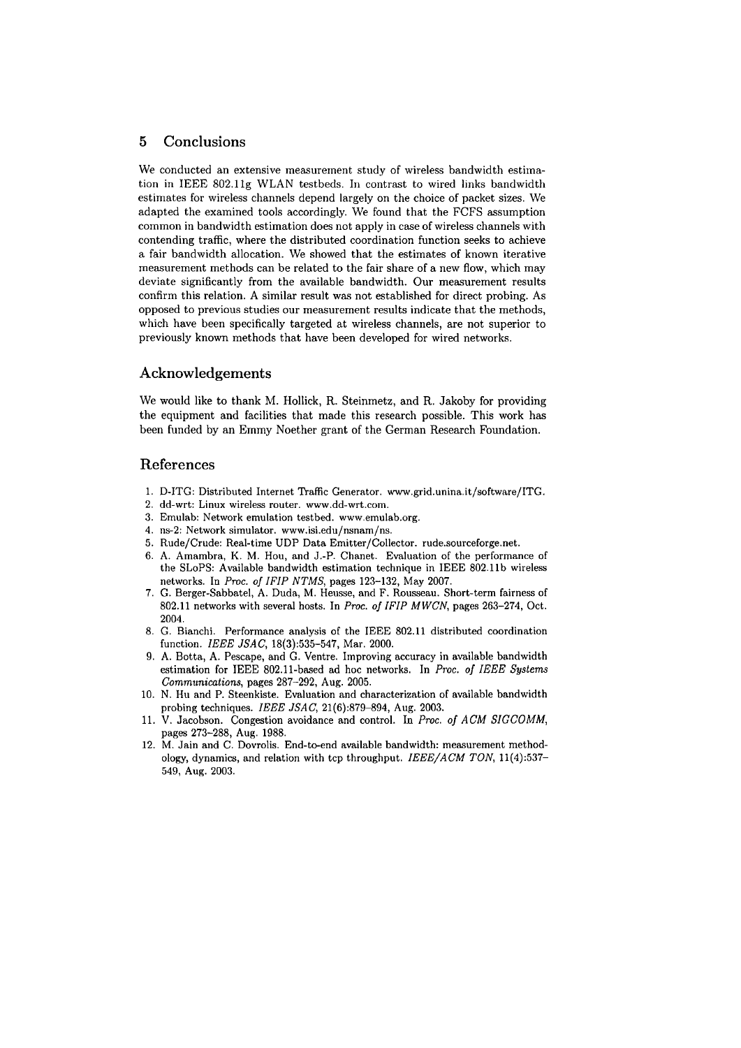## **5 Conclusions**

We conducted an extensive measurement study of wireless bandwidth estimation in IEEE 802.11g WLAN testbeds. In contrast to wired links bandwidth estiniates for wireless cliarinels depend largely on the choice of packet sizes. We adapted the examined tools accordingly. We found that the FCFS assumption common in bandwidth estimation does not apply in case of wireless channels with contending traffic, where the distributed coordination function seeks to achieve a fair bandwidth allocation. We showed that the estimates of known iterative measurement methods can be related to the fair share of a new flow, which may deviate significantly from the available bandwidth. Our measurement results confirm this relation. **A** similar result was not established for direct probing. As opposed to previous studies our measurement results indicate that the methods, which have been specifically targeted at wireless channels, are not superior to previously known methods that have been developed for wired networks.

### **Acknowledgements**

We would like to thank M. Hollick, R. Steinmetz, and R. Jakoby for providing the equipment and facilities that made this research possible. This work has been funded by an Emmy Noether grant of the German Research Foundation.

### **References**

- 1. D-ITG: Distribiited Internet Traffic Generator. **www.grid.unina.it/software/ITG.**
- 2. dd-wrt: Linux wireless router. www.dd-wrt.com.
- 3. Emulab: Network emulation testbed. www.emulab.org.
- 4. ns-2: Network simulator. www.isi.edu/nsnm/ns.
- 5. Rude/Crude: Real-time UDP Data Emitter/Collector. rude.sourceforge.net.
- 6. A. Amambra, K. M. Hou, and J.-P. Chanet. Evaluation of the performance of the SLoPS: Available bandwidth estimation technique in IEEE 802.11b wireless networks. In *Proc. of IFIP NTMS,* pages 123-132, May 2007.
- 7. G. Berger-Sabbatel, A. Duda, M. Heusse, and F. Rousseau. Short-term fairness of 802.11 networks with several hosts. In *Proc. of IFIP MWCN,* pages 263-274, Oct. 2004.
- 8. G. Bianchi. Performance analysis of the IEEE 802.11 distributed coordination function. *IEEE JSAC,* 18(3):535-547, Mar. 2000.
- 9. A. Botta, A. Pescape, and G. Ventre. Improving accuracy in available bandwidth estimation for IEEE 802.11-based ad hoc networks. In *Proc. of IEEE Systems Cornmunications,* pages 287-292, Aug. 2005.
- 10. N. Hii and P. Steenkiste. Evaluation and characterization of available bandwidth probing techniques. *IEEE JSAC,* 21(6):879-894, Aug. 2003.
- 11. V. Jacobson. Congestion avoidance and control. In *Proc. of ACM SIGCOMM,*  pages 273-288, Aug. 1988.
- 12. M. Jain and C. Dovrolis. End-to-end available bandwidth: measurement methodology, dynamics, and relation with tcp throughput. *IEEE/ACM* **TON,** 11(4):537- 549, Aug. 2003.